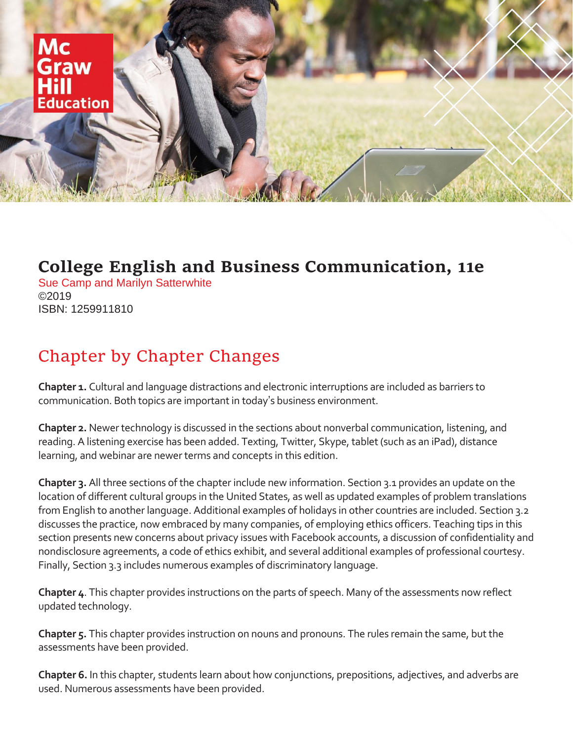

## **College English and Business Communication, 11e**

Sue Camp and Marilyn Satterwhite ©2019 ISBN: 1259911810

## Chapter by Chapter Changes

**Chapter 1.** Cultural and language distractions and electronic interruptions are included as barriers to communication. Both topics are important in today's business environment.

**Chapter 2.** Newer technology is discussed in the sections about nonverbal communication, listening, and reading. A listening exercise has been added. Texting, Twitter, Skype, tablet (such as an iPad), distance learning, and webinar are newer terms and concepts in this edition.

**Chapter 3.** All three sections of the chapter include new information. Section 3.1 provides an update on the location of different cultural groups in the United States, as well as updated examples of problem translations from English to another language. Additional examples of holidays in other countries are included. Section 3.2 discusses the practice, now embraced by many companies, of employing ethics officers. Teaching tips in this section presents new concerns about privacy issues with Facebook accounts, a discussion of confidentiality and nondisclosure agreements, a code of ethics exhibit, and several additional examples of professional courtesy. Finally, Section 3.3 includes numerous examples of discriminatory language.

**Chapter 4**. This chapter provides instructions on the parts of speech. Many of the assessments now reflect updated technology.

**Chapter 5.** This chapter provides instruction on nouns and pronouns. The rules remain the same, but the assessments have been provided.

**Chapter 6.** In this chapter, students learn about how conjunctions, prepositions, adjectives, and adverbs are used. Numerous assessments have been provided.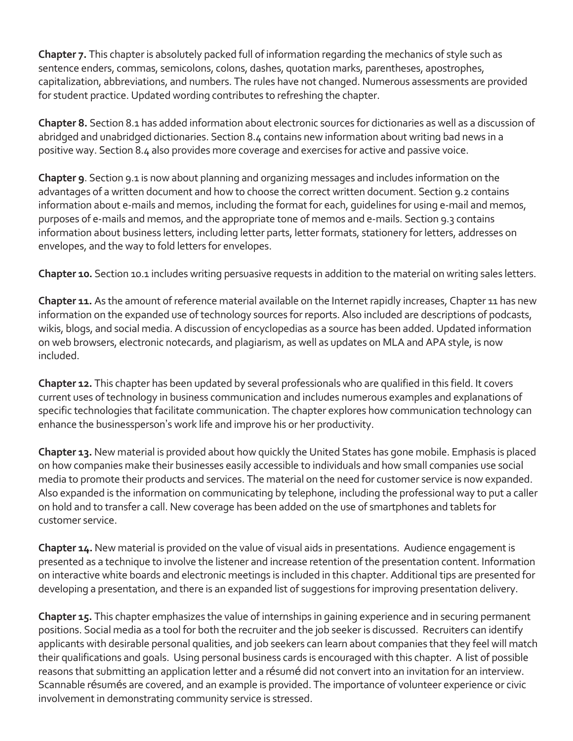**Chapter 7.** This chapter is absolutely packed full of information regarding the mechanics of style such as sentence enders, commas, semicolons, colons, dashes, quotation marks, parentheses, apostrophes, capitalization, abbreviations, and numbers. The rules have not changed. Numerous assessments are provided for student practice. Updated wording contributes to refreshing the chapter.

**Chapter 8.** Section 8.1 has added information about electronic sources for dictionaries as well as a discussion of abridged and unabridged dictionaries. Section 8.4 contains new information about writing bad news in a positive way. Section 8.4 also provides more coverage and exercises for active and passive voice.

**Chapter 9**. Section 9.1 is now about planning and organizing messages and includes information on the advantages of a written document and how to choose the correct written document. Section 9.2 contains information about e-mails and memos, including the format for each, guidelines for using e-mail and memos, purposes of e-mails and memos, and the appropriate tone of memos and e-mails. Section 9.3 contains information about business letters, including letter parts, letter formats, stationery for letters, addresses on envelopes, and the way to fold letters for envelopes.

**Chapter 10.** Section 10.1 includes writing persuasive requests in addition to the material on writing sales letters.

**Chapter 11.** As the amount of reference material available on the Internet rapidly increases, Chapter 11 has new information on the expanded use of technology sources for reports. Also included are descriptions of podcasts, wikis, blogs, and social media. A discussion of encyclopedias as a source has been added. Updated information on web browsers, electronic notecards, and plagiarism, as well as updates on MLA and APA style, is now included.

**Chapter 12.** This chapter has been updated by several professionals who are qualified in this field. It covers current uses of technology in business communication and includes numerous examples and explanations of specific technologies that facilitate communication. The chapter explores how communication technology can enhance the businessperson's work life and improve his or her productivity.

**Chapter 13.** New material is provided about how quickly the United States has gone mobile. Emphasis is placed on how companies make their businesses easily accessible to individuals and how small companies use social media to promote their products and services. The material on the need for customer service is now expanded. Also expanded is the information on communicating by telephone, including the professional way to put a caller on hold and to transfer a call. New coverage has been added on the use of smartphones and tablets for customer service.

**Chapter 14.** New material is provided on the value of visual aids in presentations. Audience engagement is presented as a technique to involve the listener and increase retention of the presentation content. Information on interactive white boards and electronic meetings is included in this chapter. Additional tips are presented for developing a presentation, and there is an expanded list of suggestions for improving presentation delivery.

**Chapter 15.** This chapter emphasizes the value of internships in gaining experience and in securing permanent positions. Social media as a tool for both the recruiter and the job seeker is discussed. Recruiters can identify applicants with desirable personal qualities, and job seekers can learn about companies that they feel will match their qualifications and goals. Using personal business cards is encouraged with this chapter. A list of possible reasons that submitting an application letter and a résumé did not convert into an invitation for an interview. Scannable résumés are covered, and an example is provided. The importance of volunteer experience or civic involvement in demonstrating community service is stressed.